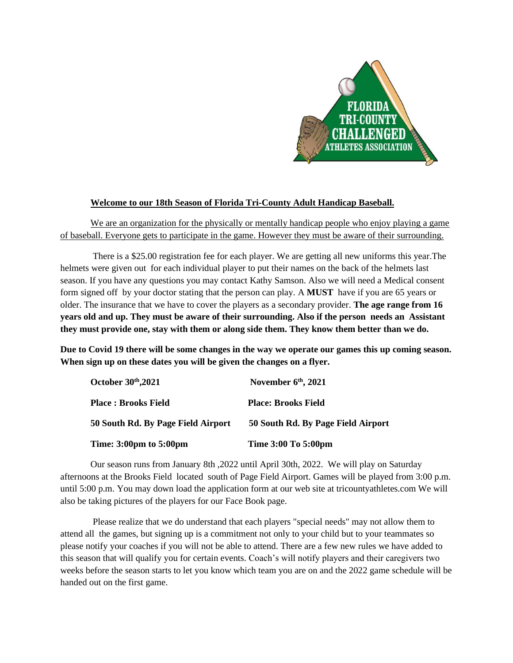

## **Welcome to our 18th Season of Florida Tri-County Adult Handicap Baseball.**

We are an organization for the physically or mentally handicap people who enjoy playing a game of baseball. Everyone gets to participate in the game. However they must be aware of their surrounding.

There is a \$25.00 registration fee for each player. We are getting all new uniforms this year.The helmets were given out for each individual player to put their names on the back of the helmets last season. If you have any questions you may contact Kathy Samson. Also we will need a Medical consent form signed off by your doctor stating that the person can play. A **MUST** have if you are 65 years or older. The insurance that we have to cover the players as a secondary provider. **The age range from 16 years old and up. They must be aware of their surrounding. Also if the person needs an Assistant they must provide one, stay with them or along side them. They know them better than we do.**

**Due to Covid 19 there will be some changes in the way we operate our games this up coming season. When sign up on these dates you will be given the changes on a flyer.**

| October 30th, 2021                 | November $6th$ , 2021              |
|------------------------------------|------------------------------------|
| <b>Place : Brooks Field</b>        | <b>Place: Brooks Field</b>         |
| 50 South Rd. By Page Field Airport | 50 South Rd. By Page Field Airport |
| <b>Time: 3:00pm to 5:00pm</b>      | Time 3:00 To 5:00pm                |

Our season runs from January 8th ,2022 until April 30th, 2022. We will play on Saturday afternoons at the Brooks Field located south of Page Field Airport. Games will be played from 3:00 p.m. until 5:00 p.m. You may down load the application form at our web site at tricountyathletes.com We will also be taking pictures of the players for our Face Book page.

Please realize that we do understand that each players "special needs" may not allow them to attend all the games, but signing up is a commitment not only to your child but to your teammates so please notify your coaches if you will not be able to attend. There are a few new rules we have added to this season that will qualify you for certain events. Coach's will notify players and their caregivers two weeks before the season starts to let you know which team you are on and the 2022 game schedule will be handed out on the first game.